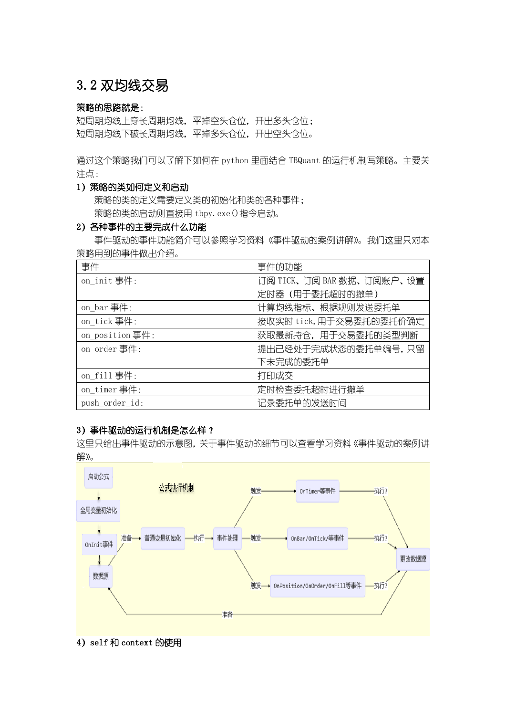# 3.2 双均线交易

# 策略的思路就是:

短周期均线上穿长周期均线,平掉空头仓位,开出多头仓位; 短周期均线下破长周期均线,平掉多头仓位,开出空头仓位。

通过这个策略我们可以了解下如何在 python 里面结合 TBQuant 的运行机制写策略。主要关 注点:

#### 1)策略的类如何定义和启动

策略的类的定义需要定义类的初始化和类的各种事件; 策略的类的启动则直接用 tbpy.exe()指令启动。

#### 2)各种事件的主要完成什么功能

事件驱动的事件功能简介可以参照学习资料《事件驱动的案例讲解》。我们这里只对本 策略用到的事件做出介绍。

| 事件              | 事件的功能                     |
|-----------------|---------------------------|
| on init 事件:     | 订阅 TICK、订阅 BAR 数据、订阅账户、设置 |
|                 | 定时器(用于委托超时的撤单)            |
| on bar 事件:      | 计算均线指标、根据规则发送委托单          |
| on tick 事件:     | 接收实时 tick, 用于交易委托的委托价确定   |
| on position 事件: | 获取最新持仓, 用于交易委托的类型判断       |
| on order事件:     | 提出已经处于完成状态的委托单编号,只留       |
|                 | 下未完成的委托单                  |
| on fill 事件:     | 打印成交                      |
| on timer事件:     | 定时检查委托超时进行撤单              |
| push order id:  | 记录委托单的发送时间                |

### 3)事件驱动的运行机制是怎么样?

这里只给出事件驱动的示意图,关于事件驱动的细节可以查看学习资料《事件驱动的案例讲 解》。



4) self 和 context 的使用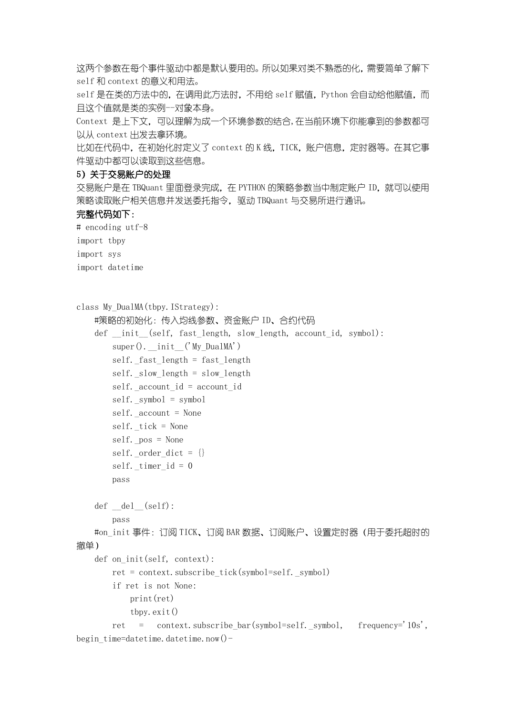这两个参数在每个事件驱动中都是默认要用的。所以如果对类不熟悉的化,需要简单了解下 self 和 context 的意义和用法。

self 是在类的方法中的, 在调用此方法时, 不用给 self 赋值, Python 会自动给他赋值, 而 且这个值就是类的实例--对象本身。

Context 是上下文,可以理解为成一个环境参数的结合,在当前环境下你能拿到的参数都可 以从 context 出发去拿环境。

比如在代码中,在初始化时定义了 context 的 K 线,TICK,账户信息,定时器等。在其它事 件驱动中都可以读取到这些信息。

#### 5)关于交易账户的处理

交易账户是在 TBQuant 里面登录完成, 在 PYTHON 的策略参数当中制定账户 ID, 就可以使用 策略读取账户相关信息并发送委托指令,驱动 TBQuant 与交易所进行通讯。

# 完整代码如下:

# encoding utf-8

import tbpy

import sys

import datetime

```
class My_DualMA(tbpy.IStrategy):
    #策略的初始化:传入均线参数、资金账户 ID、合约代码
   def init (self, fast length, slow length, account id, symbol):
        super().__init__('My_DualMA')
       self. fast length = fast length
       self. slow length = slow length
       self. account id = account id
       self. symbol = symbol
        self._account = None
       self. tick = None
       self. pos = Noneself. order dict = \{\}self. _timer_id = 0
        pass
   def del del (self): pass
   #on_init 事件: 订阅 TICK、订阅 BAR 数据、订阅账户、设置定时器(用于委托超时的
撤单)
    def on_init(self, context):
       ret = context.subscribe tick(symbol=self. symbol)
        if ret is not None:
            print(ret)
            tbpy.exit()
        ret = context.subscribe_bar(symbol=self._symbol, frequency='10s', 
begin time=datetime.datetime.now()-
```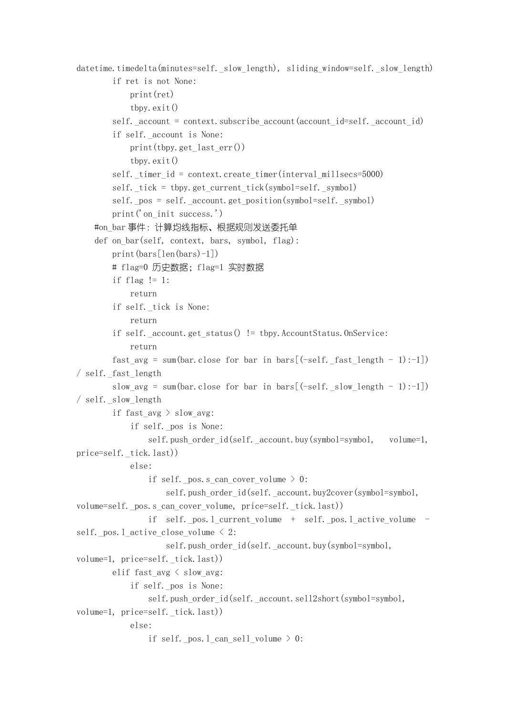```
datetime.timedelta(minutes=self._slow_length), sliding_window=self._slow_length)
         if ret is not None:
             print(ret)
             tbpy.exit()
        self. _account = context. subscribe_account(account_id=self. _account_id)
         if self._account is None:
            print(tbpy.get last err())
             tbpy.exit()
        self. timer id = context.create timer(interval millsecs=5000)
        self. tick = tbpy.get current tick(symbol=self. symbol)
        self. pos = self. _account.get_position(symbol=self. _symbol)
        print ('on init success.')
    #on_bar 事件: 计算均线指标、根据规则发送委托单
    def on bar(self, context, bars, symbol, flag):
         print(bars[len(bars)-1])
        # flag=0 历史数据; flag=1 实时数据
        if flag != 1:
             return
         if self._tick is None:
             return
         if self._account.get_status() != tbpy.AccountStatus.OnService:
             return
        fast avg = sum(bar.close for bar in bars[(-self. fast length - 1):-1])
/ self. _fast_length
        slow \text{avg} = \text{sum}(\text{bar. close for bar in bars}(-\text{self. slow length} - 1):-1])/ self._slow_length
         if fast_avg > slow_avg:
             if self._pos is None:
                self.push_order_id(self._account.buy(symbol=symbol, volume=1,
price=self._tick.last))
             else:
                if self. pos.s can cover volume > 0:
                    self.push_order_id(self._account.buy2cover(symbol=symbol,
volume=self. pos.s can cover volume, price=self. tick.last))
                if self. pos.l current volume + self. pos.l active volume -
self. pos. l active close volume \leq 2:
                    self.push_order_id(self._account.buy(symbol=symbol,
volume=1, price=self._tick.last))
        elif fast avg \langle slow avg:
             if self._pos is None:
                self.push_order_id(self._account.sell2short(symbol=symbol,
volume=1, price=self._tick.last))
             else:
                if self. pos. 1 can sell volume > 0:
```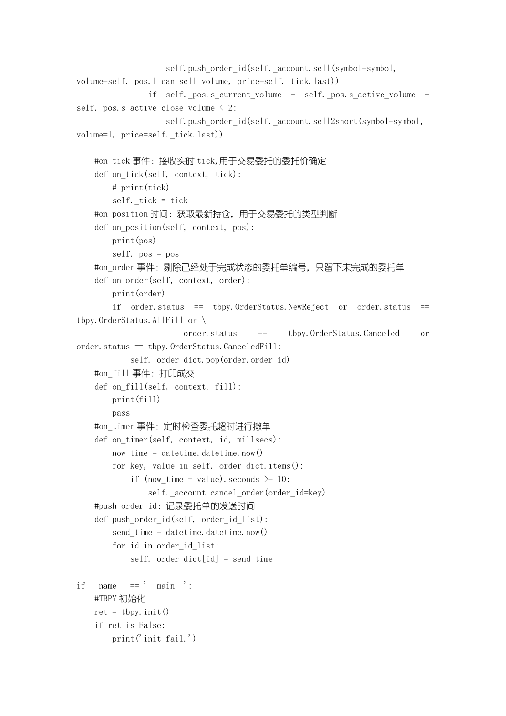```
self.push_order_id(self._account.sell(symbol=symbol,
volume=self._pos.l_can_sell_volume, price=self._tick.last))
                if self._pos.s_current_volume + self._pos.s_active_volume -
self. pos.s active close volume \leq 2:
                   self.push_order_id(self._account.sell2short(symbol=symbol,
volume=1, price=self._tick.last))
   #on_tick 事件: 接收实时 tick, 用于交易委托的委托价确定
   def on tick(self, context, tick):
        # print(tick)
       self. tick = tick
   #on_position 时间: 获取最新持仓, 用于交易委托的类型判断
   def on position(self, context, pos):
        print(pos)
       self. pos = pos#on_order 事件: 剔除已经处于完成状态的委托单编号, 只留下未完成的委托单
    def on_order(self, context, order):
        print(order)
       if order. status == tbpy. OrderStatus. NewReject or order. status ==
tbpy.OrderStatus.AllFill or \
                       order.status == tbpy.OrderStatus.Canceled or 
order.status == tbpy.OrderStatus.CanceledFill:
           self. order dict.pop(order.order id)
    #on_fill 事件:打印成交
   def on fill(self, context, fill):
        print(fill)
        pass
   #on_timer 事件: 定时检查委托超时进行撤单
   def on timer(self, context, id, millsecs):
       now time = datetime.datetime.now()
        for key, value in self._order_dict.items():
           if (now time - value). seconds \succeq 10:
               self. _account.cancel_order(order_id=key)
   #push_order_id: 记录委托单的发送时间
   def push order id(self, order id list):
       send time = datetime.datetime.now()
        for id in order_id_list:
            self._order_dict[id] = send_time
if name == 'main ':
    #TBPY 初始化
   ret = tbpy. init() if ret is False:
        print('init fail.')
```